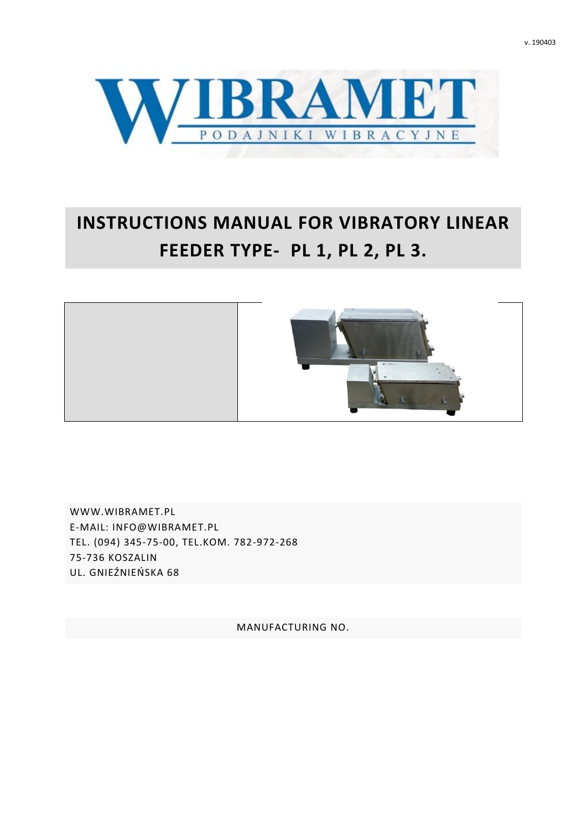



# **INSTRUCTIONS MANUAL FOR VIBRATORY LINEAR FEEDER TYPE- PL 1, PL 2, PL 3.**



[WWW.WIBRAMET.P](http://www.wibramet.net/)L E-MAIL: INFO@WIBRAMET.PL TEL. (094) 345-75-00, TEL.KOM. 782-972-268 75-736 KOSZALIN UL. GNIEŹNIEŃSKA 68

MANUFACTURING NO.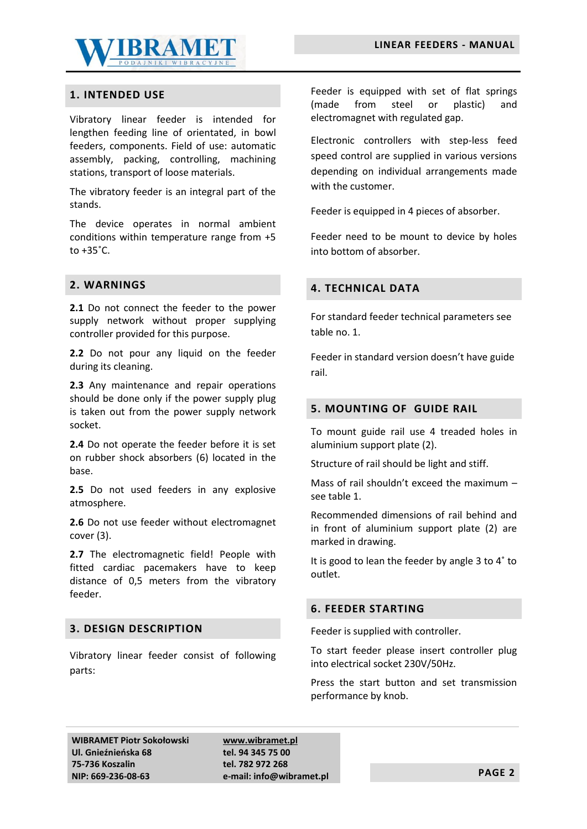

# **1. INTENDED USE**

Vibratory linear feeder is intended for lengthen feeding line of orientated, in bowl feeders, components. Field of use: automatic assembly, packing, controlling, machining stations, transport of loose materials.

The vibratory feeder is an integral part of the stands.

The device operates in normal ambient conditions within temperature range from +5 to  $+35^{\circ}$ C.

### **2. WARNINGS**

**2.1** Do not connect the feeder to the power supply network without proper supplying controller provided for this purpose.

**2.2** Do not pour any liquid on the feeder during its cleaning.

**2.3** Any maintenance and repair operations should be done only if the power supply plug is taken out from the power supply network socket.

**2.4** Do not operate the feeder before it is set on rubber shock absorbers (6) located in the base.

**2.5** Do not used feeders in any explosive atmosphere.

**2.6** Do not use feeder without electromagnet cover (3).

2.7 The electromagnetic field! People with fitted cardiac pacemakers have to keep distance of 0,5 meters from the vibratory feeder.

### **3. DESIGN DESCRIPTION**

Vibratory linear feeder consist of following parts:

Feeder is equipped with set of flat springs (made from steel or plastic) and electromagnet with regulated gap.

Electronic controllers with step-less feed speed control are supplied in various versions depending on individual arrangements made with the customer.

Feeder is equipped in 4 pieces of absorber.

Feeder need to be mount to device by holes into bottom of absorber.

# **4. TECHNICAL DATA**

For standard feeder technical parameters see table no. 1.

Feeder in standard version doesn't have guide rail.

#### **5. MOUNTING OF GUIDE RAIL**

To mount guide rail use 4 treaded holes in aluminium support plate (2).

Structure of rail should be light and stiff.

Mass of rail shouldn't exceed the maximum – see table 1.

Recommended dimensions of rail behind and in front of aluminium support plate (2) are marked in drawing.

It is good to lean the feeder by angle 3 to 4˚ to outlet.

### **6. FEEDER STARTING**

Feeder is supplied with controller.

To start feeder please insert controller plug into electrical socket 230V/50Hz.

Press the start button and set transmission performance by knob.

**WIBRAMET Piotr Sokołowski Ul. Gnieźnieńska 68 75-736 Koszalin NIP: 669-236-08-63**

**[www.wibramet.pl](http://www.wibramet.pl/) tel. 94 345 75 00 tel. 782 972 268 e-mail: info@wibramet.pl PAGE 2**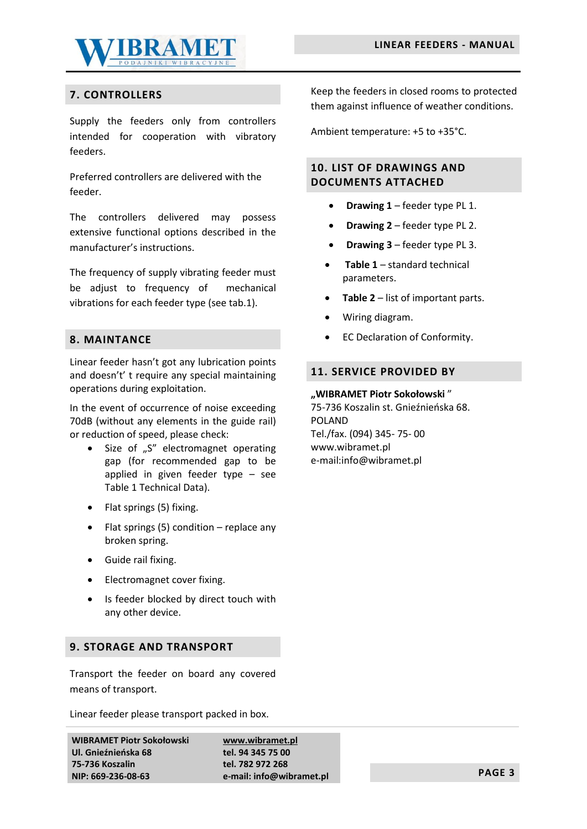

# **7. CONTROLLERS**

Supply the feeders only from controllers intended for cooperation with vibratory feeders.

Preferred controllers are delivered with the feeder.

The controllers delivered may possess extensive functional options described in the manufacturer's instructions.

The frequency of supply vibrating feeder must be adjust to frequency of mechanical vibrations for each feeder type (see tab.1).

# **8. MAINTANCE**

Linear feeder hasn't got any lubrication points and doesn't' t require any special maintaining operations during exploitation.

In the event of occurrence of noise exceeding 70dB (without any elements in the guide rail) or reduction of speed, please check:

- Size of "S" electromagnet operating gap (for recommended gap to be applied in given feeder type – see Table 1 Technical Data).
- Flat springs (5) fixing.
- Flat springs  $(5)$  condition replace any broken spring.
- Guide rail fixing.
- Electromagnet cover fixing.
- Is feeder blocked by direct touch with any other device.

# **9. STORAGE AND TRANSPORT**

Transport the feeder on board any covered means of transport.

Linear feeder please transport packed in box.

**WIBRAMET Piotr Sokołowski Ul. Gnieźnieńska 68 75-736 Koszalin NIP: 669-236-08-63**

**[www.wibramet.pl](http://www.wibramet.pl/) tel. 94 345 75 00 tel. 782 972 268 e-mail: info@wibramet.pl PAGE 3**

Keep the feeders in closed rooms to protected them against influence of weather conditions.

Ambient temperature: +5 to +35°C.

# **10. LIST OF DRAWINGS AND DOCUMENTS ATTACHED**

- **Drawing 1** feeder type PL 1.
- **Drawing 2** feeder type PL 2.
- **Drawing 3** feeder type PL 3.
- **Table 1** standard technical parameters.
- **Table 2** list of important parts.
- Wiring diagram.
- EC Declaration of Conformity.

# **11. SERVICE PROVIDED BY**

#### **"WIBRAMET Piotr Sokołowski** "

75-736 Koszalin st. Gnieźnieńska 68. POLAND Tel./fax. (094) 345- 75- 00 www.wibramet.pl e-mail:info@wibramet.pl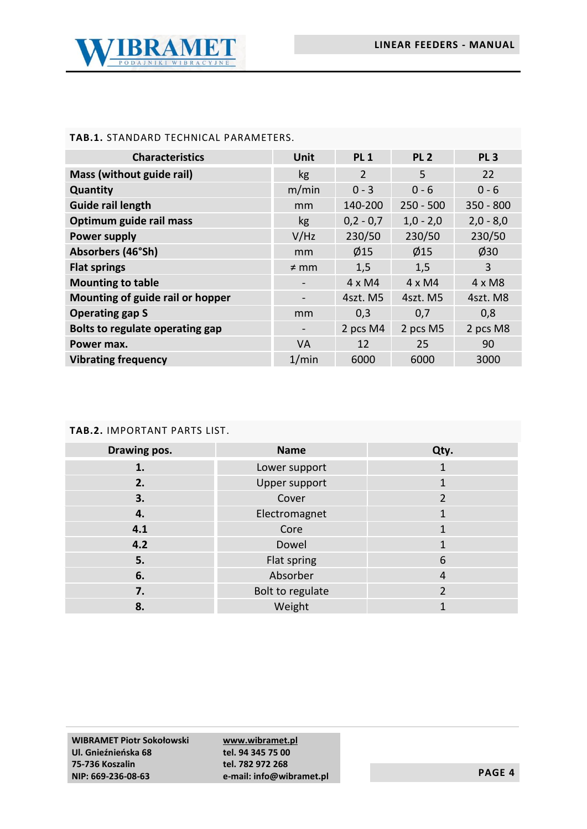

# **TAB.1.** STANDARD TECHNICAL PARAMETERS.

| <b>Characteristics</b>           | Unit      | <b>PL1</b>     | PL <sub>2</sub> | PL <sub>3</sub> |
|----------------------------------|-----------|----------------|-----------------|-----------------|
| Mass (without guide rail)        | kg        | $\overline{2}$ | 5               | 22              |
| Quantity                         | m/min     | $0 - 3$        | $0 - 6$         | $0 - 6$         |
| <b>Guide rail length</b>         | mm        | 140-200        | $250 - 500$     | $350 - 800$     |
| Optimum guide rail mass          | kg        | $0,2 - 0,7$    | $1,0 - 2,0$     | $2,0 - 8,0$     |
| <b>Power supply</b>              | V/Hz      | 230/50         | 230/50          | 230/50          |
| Absorbers (46°Sh)                | mm        | $\emptyset$ 15 | $\emptyset$ 15  | $\varphi$ 30    |
| <b>Flat springs</b>              | $\neq$ mm | 1,5            | 1,5             | 3               |
| <b>Mounting to table</b>         |           | $4 \times M4$  | $4 \times M4$   | $4 \times M8$   |
| Mounting of guide rail or hopper |           | 4szt. M5       | 4szt. M5        | 4szt. M8        |
| <b>Operating gap S</b>           | mm        | 0,3            | 0,7             | 0,8             |
| Bolts to regulate operating gap  |           | 2 pcs M4       | 2 pcs M5        | 2 pcs M8        |
| Power max.                       | <b>VA</b> | 12             | 25              | 90              |
| <b>Vibrating frequency</b>       | 1/min     | 6000           | 6000            | 3000            |

# **TAB.2.** IMPORTANT PARTS LIST.

| Drawing pos. | <b>Name</b>      | Qty. |
|--------------|------------------|------|
| 1.           | Lower support    |      |
| 2.           | Upper support    |      |
| 3.           | Cover            | 2    |
| 4.           | Electromagnet    |      |
| 4.1          | Core             |      |
| 4.2          | Dowel            |      |
| 5.           | Flat spring      | 6    |
| 6.           | Absorber         | 4    |
| 7.           | Bolt to regulate |      |
| 8.           | Weight           |      |

**[www.wibramet.pl](http://www.wibramet.pl/) tel. 94 345 75 00 tel. 782 972 268 e-mail: info@wibramet.pl PAGE 4**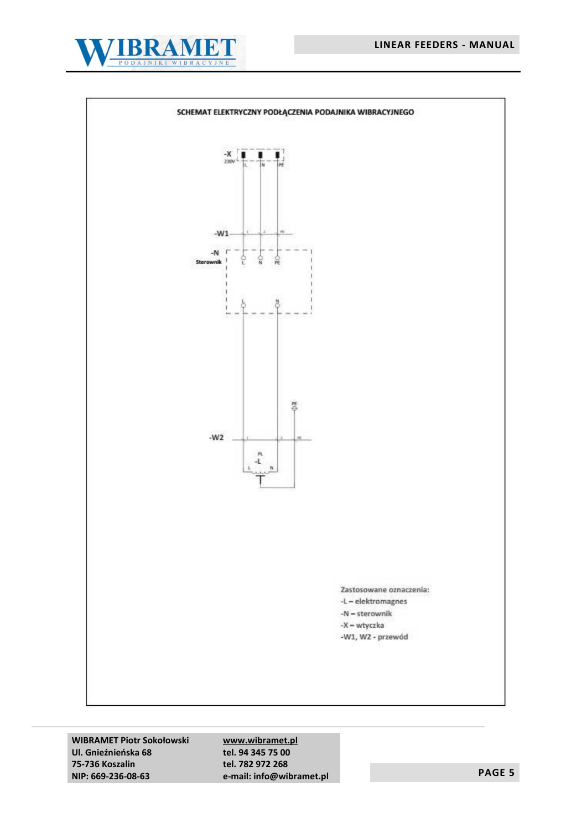



**WIBRAMET Piotr Sokołowski Ul. Gnieźnieńska 68 75-736 Koszalin NIP: 669-236-08-63**

**[www.wibramet.pl](http://www.wibramet.pl/) tel. 94 345 75 00 tel. 782 972 268 e-mail: info@wibramet.pl PAGE 5**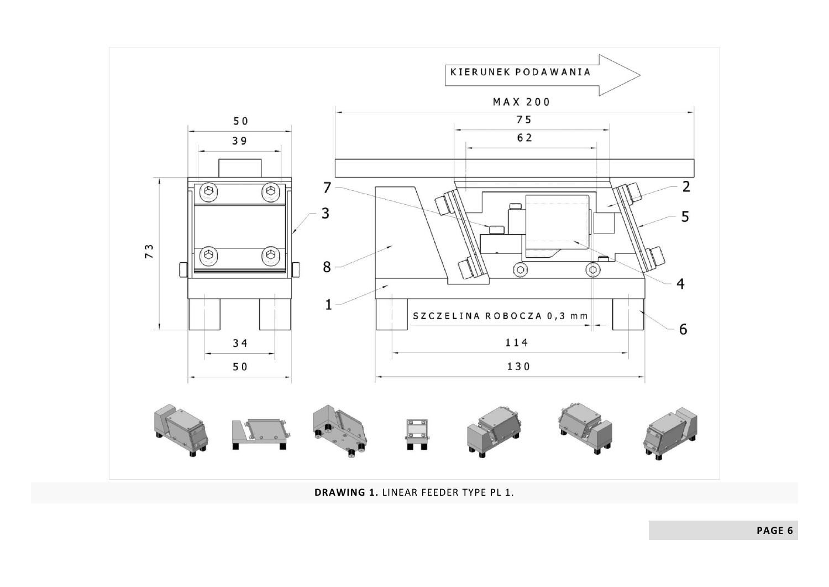

**DRAWING 1.** LINEAR FEEDER TYPE PL 1.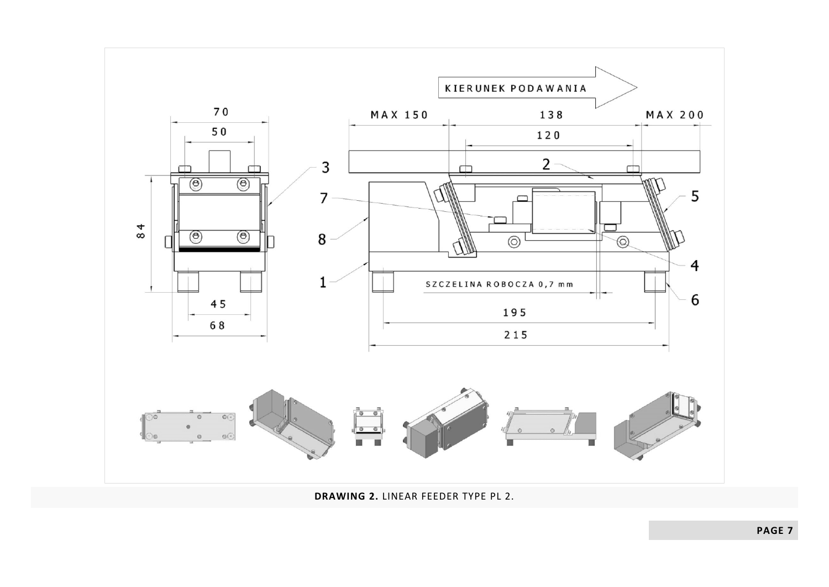

**DRAWING 2.** LINEAR FEEDER TYPE PL 2.